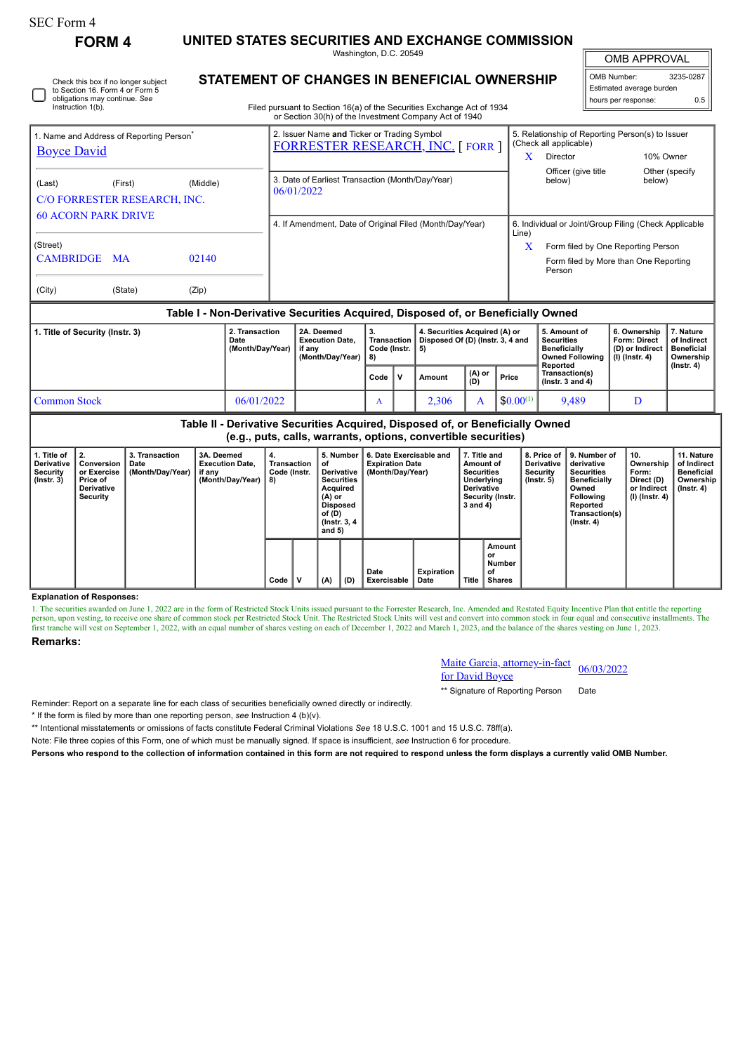| SEC Form 4 |  |
|------------|--|
|------------|--|

Instruction 1(b).

Check this box if no longer subject to Section 16. Form 4 or Form 5 obligations may continue. *See*

**FORM 4 UNITED STATES SECURITIES AND EXCHANGE COMMISSION**

Washington, D.C. 20549

OMB APPROVAL

 $\mathbb{F}$ 

|                          | OMB Number:         | 3235-0287 |  |  |  |  |  |  |  |
|--------------------------|---------------------|-----------|--|--|--|--|--|--|--|
| Estimated average burden |                     |           |  |  |  |  |  |  |  |
|                          | hours per response: | ሰ 5       |  |  |  |  |  |  |  |

**STATEMENT OF CHANGES IN BENEFICIAL OWNERSHIP**

Filed pursuant to Section 16(a) of the Securities Exchange Act of 1934 or Section 30(h) of the Investment Company Act of 1940

|                            |                                                      |       | or occion comp or the investment company not or to lo                                  |                                                                            |  |  |  |  |  |
|----------------------------|------------------------------------------------------|-------|----------------------------------------------------------------------------------------|----------------------------------------------------------------------------|--|--|--|--|--|
|                            | 1. Name and Address of Reporting Person <sup>®</sup> |       | 2. Issuer Name and Ticker or Trading Symbol<br><b>FORRESTER RESEARCH, INC. [FORR ]</b> | 5. Relationship of Reporting Person(s) to Issuer<br>(Check all applicable) |  |  |  |  |  |
| <b>Boyce David</b>         |                                                      |       |                                                                                        | 10% Owner<br>X<br>Director                                                 |  |  |  |  |  |
|                            | (Middle)<br>(First)                                  |       |                                                                                        | Officer (give title<br>Other (specify)                                     |  |  |  |  |  |
| (Last)                     |                                                      |       | 3. Date of Earliest Transaction (Month/Day/Year)                                       | below)<br>below)                                                           |  |  |  |  |  |
|                            | C/O FORRESTER RESEARCH, INC.                         |       | 06/01/2022                                                                             |                                                                            |  |  |  |  |  |
|                            |                                                      |       |                                                                                        |                                                                            |  |  |  |  |  |
| <b>60 ACORN PARK DRIVE</b> |                                                      |       | 4. If Amendment, Date of Original Filed (Month/Day/Year)                               | 6. Individual or Joint/Group Filing (Check Applicable<br>Line)             |  |  |  |  |  |
| (Street)                   |                                                      |       |                                                                                        | X<br>Form filed by One Reporting Person                                    |  |  |  |  |  |
| CAMBRIDGE MA               |                                                      | 02140 |                                                                                        | Form filed by More than One Reporting<br>Person                            |  |  |  |  |  |
| (City)                     | (State)                                              | (Zip) |                                                                                        |                                                                            |  |  |  |  |  |

## **Table I - Non-Derivative Securities Acquired, Disposed of, or Beneficially Owned**

| 1. Title of Security (Instr. 3) | 2. Transaction<br>Date<br>(Month/Day/Year) | 2A. Deemed<br><b>Execution Date.</b><br>if anv<br>(Month/Dav/Year) | з.<br>Transaction  <br>Code (Instr. 15)<br>-8) |     | 4. Securities Acquired (A) or<br>Disposed Of (D) (Instr. 3, 4 and |               |               | 5. Amount of<br><b>Securities</b><br><b>Beneficially</b><br><b>Owned Following</b><br>Reported | 6. Ownership<br><b>Form: Direct</b><br>(D) or Indirect<br>(I) (Instr. 4) | . Nature<br>of Indirect<br><b>Beneficial</b><br>Ownership<br>(Instr. 4) |
|---------------------------------|--------------------------------------------|--------------------------------------------------------------------|------------------------------------------------|-----|-------------------------------------------------------------------|---------------|---------------|------------------------------------------------------------------------------------------------|--------------------------------------------------------------------------|-------------------------------------------------------------------------|
|                                 |                                            |                                                                    | Code                                           | , v | Amount                                                            | (A) or<br>(D) | Price         | Transaction(s)<br>( $lnstr.$ 3 and 4)                                                          |                                                                          |                                                                         |
| Common Stock                    | 06/01/2022                                 |                                                                    | $\Lambda$                                      |     | 2,306                                                             |               | $$0.00^{(1)}$ | 9,489                                                                                          |                                                                          |                                                                         |

| Table II - Derivative Securities Acquired, Disposed of, or Beneficially Owned<br>(e.g., puts, calls, warrants, options, convertible securities) |                                                                       |                                            |                                                                    |                                         |  |                                                                                                                                      |     |                                                                       |                    |                                                                                                                        |                                               |                                                                  |                                                                                                                                                |                                                                          |                                                                                 |
|-------------------------------------------------------------------------------------------------------------------------------------------------|-----------------------------------------------------------------------|--------------------------------------------|--------------------------------------------------------------------|-----------------------------------------|--|--------------------------------------------------------------------------------------------------------------------------------------|-----|-----------------------------------------------------------------------|--------------------|------------------------------------------------------------------------------------------------------------------------|-----------------------------------------------|------------------------------------------------------------------|------------------------------------------------------------------------------------------------------------------------------------------------|--------------------------------------------------------------------------|---------------------------------------------------------------------------------|
| 1. Title of<br><b>Derivative</b><br>Security<br>$($ lnstr. 3 $)$                                                                                | 2.<br>Conversion<br>or Exercise<br>Price of<br>Derivative<br>Security | 3. Transaction<br>Date<br>(Month/Day/Year) | 3A. Deemed<br><b>Execution Date.</b><br>if any<br>(Month/Day/Year) | 4.<br>Transaction<br>Code (Instr.<br>8) |  | 5. Number<br>οf<br>Derivative<br><b>Securities</b><br>Acquired<br>$(A)$ or<br><b>Disposed</b><br>of (D)<br>(Instr. 3, 4)<br>and $5)$ |     | 6. Date Exercisable and<br><b>Expiration Date</b><br>(Month/Day/Year) |                    | 7. Title and<br>Amount of<br><b>Securities</b><br>Underlying<br><b>Derivative</b><br>Security (Instr.<br>$3$ and $4$ ) |                                               | 8. Price of<br><b>Derivative</b><br>Security<br>$($ lnstr. 5 $)$ | 9. Number of<br>derivative<br><b>Securities</b><br><b>Beneficially</b><br>Owned<br>Following<br>Reported<br>Transaction(s)<br>$($ Instr. 4 $)$ | 10.<br>Ownership<br>Form:<br>Direct (D)<br>or Indirect<br>(I) (Instr. 4) | 11. Nature<br>of Indirect<br><b>Beneficial</b><br>Ownership<br>$($ lnstr. 4 $)$ |
|                                                                                                                                                 |                                                                       |                                            |                                                                    | Code                                    |  | (A)                                                                                                                                  | (D) | Date<br>Exercisable                                                   | Expiration<br>Date | <b>Title</b>                                                                                                           | Amount<br>or<br>Number<br>οf<br><b>Shares</b> |                                                                  |                                                                                                                                                |                                                                          |                                                                                 |

## **Explanation of Responses:**

1. The securities awarded on June 1, 2022 are in the form of Restricted Stock Units issued pursuant to the Forrester Research, Inc. Amended and Restated Equity Incentive Plan that entitle the reporting<br>person, upon vesting

## **Remarks:**

Maite Garcia, attorney-in-fact <u>Maile Garcia, attorney-in-ract</u> 06/03/2022<br>for David Boyce

\*\* Signature of Reporting Person Date

Reminder: Report on a separate line for each class of securities beneficially owned directly or indirectly.

\* If the form is filed by more than one reporting person, *see* Instruction 4 (b)(v).

\*\* Intentional misstatements or omissions of facts constitute Federal Criminal Violations *See* 18 U.S.C. 1001 and 15 U.S.C. 78ff(a).

Note: File three copies of this Form, one of which must be manually signed. If space is insufficient, *see* Instruction 6 for procedure.

**Persons who respond to the collection of information contained in this form are not required to respond unless the form displays a currently valid OMB Number.**